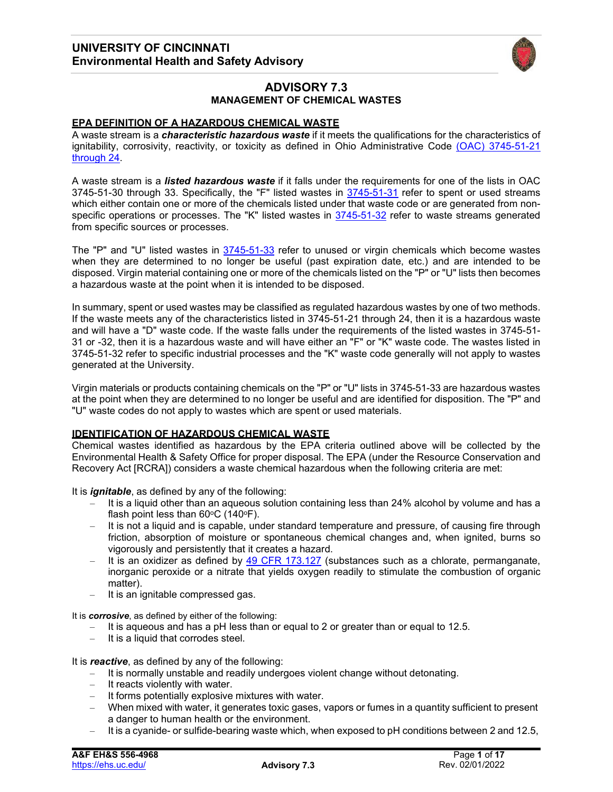

# **ADVISORY 7.3 MANAGEMENT OF CHEMICAL WASTES**

## **EPA DEFINITION OF A HAZARDOUS CHEMICAL WASTE**

A waste stream is a *characteristic hazardous waste* if it meets the qualifications for the characteristics of ignitability, corrosivity, reactivity, or toxicity as defined in Ohio Administrative Code [\(OAC\) 3745-51-21](http://codes.ohio.gov/oac/3745-51) [through](http://codes.ohio.gov/oac/3745-51) 24.

A waste stream is a *listed hazardous waste* if it falls under the requirements for one of the lists in OAC 3745-51-30 through 33. Specifically, the "F" listed wastes in  $3745-51-31$  refer to spent or used streams which either contain one or more of the chemicals listed under that waste code or are generated from nonspecific operations or processes. The "K" listed wastes in [3745-51-32](http://codes.ohio.gov/oac/3745-51-32) refer to waste streams generated from specific sources or processes.

The "P" and "U" listed wastes in [3745-51-33](http://codes.ohio.gov/oac/3745-51-33) refer to unused or virgin chemicals which become wastes when they are determined to no longer be useful (past expiration date, etc.) and are intended to be disposed. Virgin material containing one or more of the chemicals listed on the "P" or "U" lists then becomes a hazardous waste at the point when it is intended to be disposed.

In summary, spent or used wastes may be classified as regulated hazardous wastes by one of two methods. If the waste meets any of the characteristics listed in 3745-51-21 through 24, then it is a hazardous waste and will have a "D" waste code. If the waste falls under the requirements of the listed wastes in 3745-51- 31 or -32, then it is a hazardous waste and will have either an "F" or "K" waste code. The wastes listed in 3745-51-32 refer to specific industrial processes and the "K" waste code generally will not apply to wastes generated at the University.

Virgin materials or products containing chemicals on the "P" or "U" lists in 3745-51-33 are hazardous wastes at the point when they are determined to no longer be useful and are identified for disposition. The "P" and "U" waste codes do not apply to wastes which are spent or used materials.

## **IDENTIFICATION OF HAZARDOUS CHEMICAL WASTE**

Chemical wastes identified as hazardous by the EPA criteria outlined above will be collected by the Environmental Health & Safety Office for proper disposal. The EPA (under the Resource Conservation and Recovery Act [RCRA]) considers a waste chemical hazardous when the following criteria are met:

It is *ignitable*, as defined by any of the following:

- It is a liquid other than an aqueous solution containing less than 24% alcohol by volume and has a flash point less than  $60^{\circ}$ C (140 $^{\circ}$ F).
- It is not a liquid and is capable, under standard temperature and pressure, of causing fire through friction, absorption of moisture or spontaneous chemical changes and, when ignited, burns so vigorously and persistently that it creates a hazard.
- It is an oxidizer as defined by [49 CFR 173.127](https://www.ecfr.gov/current/title-49/subtitle-B/chapter-I/subchapter-C/part-173/subpart-D/section-173.127) (substances such as a chlorate, permanganate, inorganic peroxide or a nitrate that yields oxygen readily to stimulate the combustion of organic matter).
- It is an ignitable compressed gas.

It is *corrosive*, as defined by either of the following:

- It is aqueous and has a pH less than or equal to 2 or greater than or equal to 12.5.
- It is a liquid that corrodes steel.

It is *reactive*, as defined by any of the following:

- It is normally unstable and readily undergoes violent change without detonating.
- It reacts violently with water.
- It forms potentially explosive mixtures with water.
- When mixed with water, it generates toxic gases, vapors or fumes in a quantity sufficient to present a danger to human health or the environment.
- It is a cyanide- or sulfide-bearing waste which, when exposed to pH conditions between 2 and 12.5,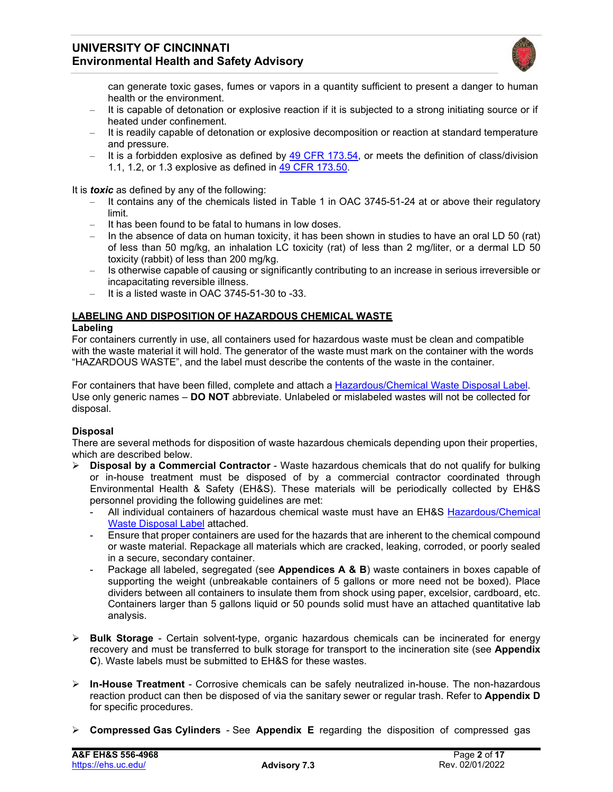

can generate toxic gases, fumes or vapors in a quantity sufficient to present a danger to human health or the environment.

- It is capable of detonation or explosive reaction if it is subjected to a strong initiating source or if heated under confinement.
- It is readily capable of detonation or explosive decomposition or reaction at standard temperature and pressure.
- $-$  It is a forbidden explosive as defined by 49 CFR [173.54,](https://www.ecfr.gov/current/title-49/subtitle-B/chapter-I/subchapter-C/part-173/subpart-D/section-173.54) or meets the definition of class/division 1.1, 1.2, or 1.3 explosive as defined in 49 CFR [173.50.](https://www.ecfr.gov/current/title-49/subtitle-B/chapter-I/subchapter-C/part-173/subpart-D/section-173.50)

It is *toxic* as defined by any of the following:

- It contains any of the chemicals listed in Table 1 in OAC 3745-51-24 at or above their regulatory limit.
- It has been found to be fatal to humans in low doses.
- In the absence of data on human toxicity, it has been shown in studies to have an oral LD 50 (rat) of less than 50 mg/kg, an inhalation LC toxicity (rat) of less than 2 mg/liter, or a dermal LD 50 toxicity (rabbit) of less than 200 mg/kg.
- Is otherwise capable of causing or significantly contributing to an increase in serious irreversible or incapacitating reversible illness.
- It is a listed waste in OAC 3745-51-30 to -33.

#### **LABELING AND DISPOSITION OF HAZARDOUS CHEMICAL WASTE**

#### **Labeling**

For containers currently in use, all containers used for hazardous waste must be clean and compatible with the waste material it will hold. The generator of the waste must mark on the container with the words "HAZARDOUS WASTE", and the label must describe the contents of the waste in the container.

For containers that have been filled, complete and attach a [Hazardous/Chemical Waste Disposal Label.](http://ehs.uc.edu/Chemical) Use only generic names – **DO NOT** abbreviate. Unlabeled or mislabeled wastes will not be collected for disposal.

## **Disposal**

There are several methods for disposition of waste hazardous chemicals depending upon their properties, which are described below.

- **Disposal by a Commercial Contractor**  Waste hazardous chemicals that do not qualify for bulking or in-house treatment must be disposed of by a commercial contractor coordinated through Environmental Health & Safety (EH&S). These materials will be periodically collected by EH&S personnel providing the following guidelines are met:
	- All individual containers of hazardous chemical waste must have an EH&S [Hazardous/Chemical](http://ehs.uc.edu/Chemical) Waste [Disposal](http://ehs.uc.edu/Chemical) Label attached.
	- Ensure that proper containers are used for the hazards that are inherent to the chemical compound or waste material. Repackage all materials which are cracked, leaking, corroded, or poorly sealed in a secure, secondary container.
	- Package all labeled, segregated (see **Appendices A & B**) waste containers in boxes capable of supporting the weight (unbreakable containers of 5 gallons or more need not be boxed). Place dividers between all containers to insulate them from shock using paper, excelsior, cardboard, etc. Containers larger than 5 gallons liquid or 50 pounds solid must have an attached quantitative lab analysis.
- **Bulk Storage**  Certain solvent-type, organic hazardous chemicals can be incinerated for energy recovery and must be transferred to bulk storage for transport to the incineration site (see **Appendix C**). Waste labels must be submitted to EH&S for these wastes.
- **In-House Treatment**  Corrosive chemicals can be safely neutralized in-house. The non-hazardous reaction product can then be disposed of via the sanitary sewer or regular trash. Refer to **Appendix D** for specific procedures.
- **Compressed Gas Cylinders** See **Appendix E** regarding the disposition of compressed gas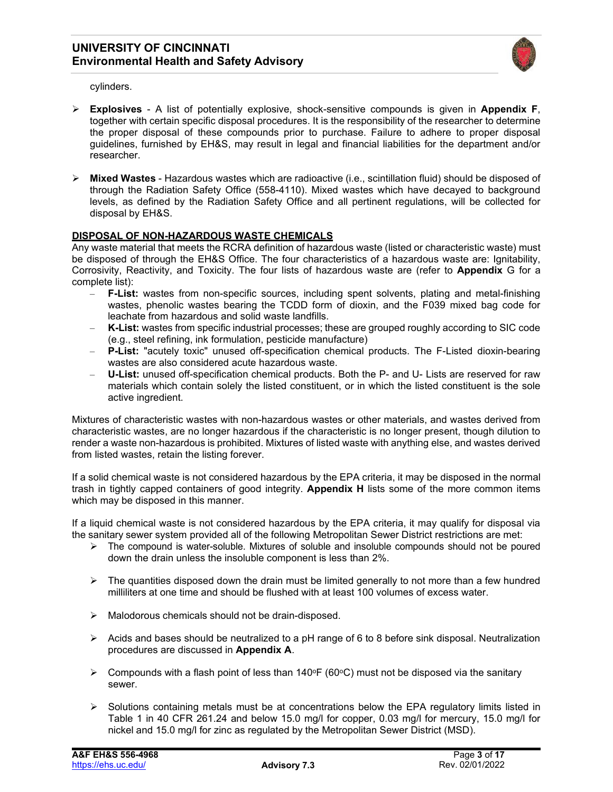

cylinders.

- **Explosives**  A list of potentially explosive, shock-sensitive compounds is given in **Appendix F**, together with certain specific disposal procedures. It is the responsibility of the researcher to determine the proper disposal of these compounds prior to purchase. Failure to adhere to proper disposal guidelines, furnished by EH&S, may result in legal and financial liabilities for the department and/or researcher.
- **Mixed Wastes** Hazardous wastes which are radioactive (i.e., scintillation fluid) should be disposed of through the Radiation Safety Office (558-4110). Mixed wastes which have decayed to background levels, as defined by the Radiation Safety Office and all pertinent regulations, will be collected for disposal by EH&S.

## **DISPOSAL OF NON-HAZARDOUS WASTE CHEMICALS**

Any waste material that meets the RCRA definition of hazardous waste (listed or characteristic waste) must be disposed of through the EH&S Office. The four characteristics of a hazardous waste are: Ignitability, Corrosivity, Reactivity, and Toxicity. The four lists of hazardous waste are (refer to **Appendix** G for a complete list):

- **F-List:** wastes from non-specific sources, including spent solvents, plating and metal-finishing wastes, phenolic wastes bearing the TCDD form of dioxin, and the F039 mixed bag code for leachate from hazardous and solid waste landfills.
- **K-List:** wastes from specific industrial processes; these are grouped roughly according to SIC code (e.g., steel refining, ink formulation, pesticide manufacture)
- **P-List:** "acutely toxic" unused off-specification chemical products. The F-Listed dioxin-bearing wastes are also considered acute hazardous waste.
- **U-List:** unused off-specification chemical products. Both the P- and U- Lists are reserved for raw materials which contain solely the listed constituent, or in which the listed constituent is the sole active ingredient.

Mixtures of characteristic wastes with non-hazardous wastes or other materials, and wastes derived from characteristic wastes, are no longer hazardous if the characteristic is no longer present, though dilution to render a waste non-hazardous is prohibited. Mixtures of listed waste with anything else, and wastes derived from listed wastes, retain the listing forever.

If a solid chemical waste is not considered hazardous by the EPA criteria, it may be disposed in the normal trash in tightly capped containers of good integrity. **Appendix H** lists some of the more common items which may be disposed in this manner.

If a liquid chemical waste is not considered hazardous by the EPA criteria, it may qualify for disposal via the sanitary sewer system provided all of the following Metropolitan Sewer District restrictions are met:

- $\triangleright$  The compound is water-soluble. Mixtures of soluble and insoluble compounds should not be poured down the drain unless the insoluble component is less than 2%.
- $\triangleright$  The quantities disposed down the drain must be limited generally to not more than a few hundred milliliters at one time and should be flushed with at least 100 volumes of excess water.
- $\triangleright$  Malodorous chemicals should not be drain-disposed.
- $\triangleright$  Acids and bases should be neutralized to a pH range of 6 to 8 before sink disposal. Neutralization procedures are discussed in **Appendix A**.
- $\triangleright$  Compounds with a flash point of less than 140°F (60°C) must not be disposed via the sanitary sewer.
- $\triangleright$  Solutions containing metals must be at concentrations below the EPA regulatory limits listed in Table 1 in 40 CFR 261.24 and below 15.0 mg/l for copper, 0.03 mg/l for mercury, 15.0 mg/l for nickel and 15.0 mg/l for zinc as regulated by the Metropolitan Sewer District (MSD).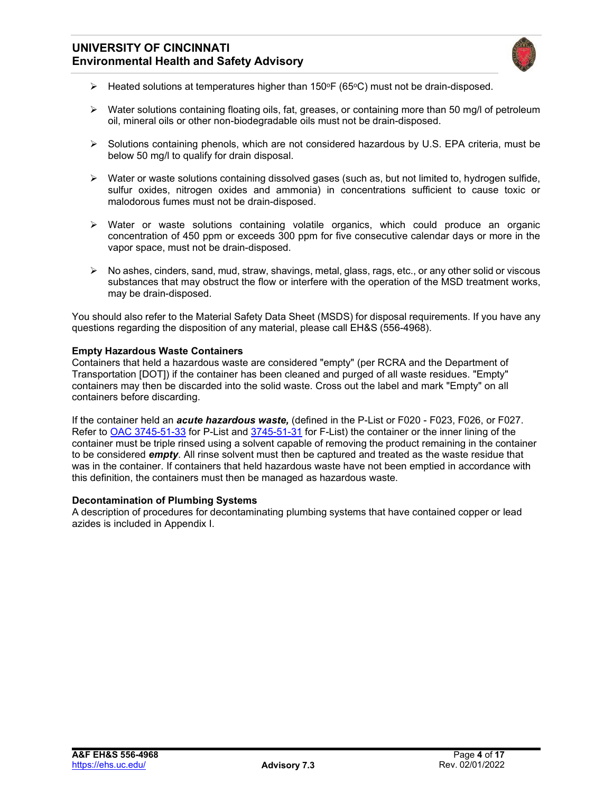

- $\triangleright$  Heated solutions at temperatures higher than 150°F (65°C) must not be drain-disposed.
- $\triangleright$  Water solutions containing floating oils, fat, greases, or containing more than 50 mg/l of petroleum oil, mineral oils or other non-biodegradable oils must not be drain-disposed.
- $\triangleright$  Solutions containing phenols, which are not considered hazardous by U.S. EPA criteria, must be below 50 mg/l to qualify for drain disposal.
- $\triangleright$  Water or waste solutions containing dissolved gases (such as, but not limited to, hydrogen sulfide, sulfur oxides, nitrogen oxides and ammonia) in concentrations sufficient to cause toxic or malodorous fumes must not be drain-disposed.
- $\triangleright$  Water or waste solutions containing volatile organics, which could produce an organic concentration of 450 ppm or exceeds 300 ppm for five consecutive calendar days or more in the vapor space, must not be drain-disposed.
- $\triangleright$  No ashes, cinders, sand, mud, straw, shavings, metal, glass, rags, etc., or any other solid or viscous substances that may obstruct the flow or interfere with the operation of the MSD treatment works, may be drain-disposed.

You should also refer to the Material Safety Data Sheet (MSDS) for disposal requirements. If you have any questions regarding the disposition of any material, please call EH&S (556-4968).

#### **Empty Hazardous Waste Containers**

Containers that held a hazardous waste are considered "empty" (per RCRA and the Department of Transportation [DOT]) if the container has been cleaned and purged of all waste residues. "Empty" containers may then be discarded into the solid waste. Cross out the label and mark "Empty" on all containers before discarding.

If the container held an *acute hazardous waste,* (defined in the P-List or F020 - F023, F026, or F027. Refer to [OAC 3745-51-33](http://codes.ohio.gov/oac/3745-51-33) for P-List and [3745-51-31](http://codes.ohio.gov/oac/3745-51-31) for F-List) the container or the inner lining of the container must be triple rinsed using a solvent capable of removing the product remaining in the container to be considered *empty*. All rinse solvent must then be captured and treated as the waste residue that was in the container. If containers that held hazardous waste have not been emptied in accordance with this definition, the containers must then be managed as hazardous waste.

#### **Decontamination of Plumbing Systems**

A description of procedures for decontaminating plumbing systems that have contained copper or lead azides is included in Appendix I.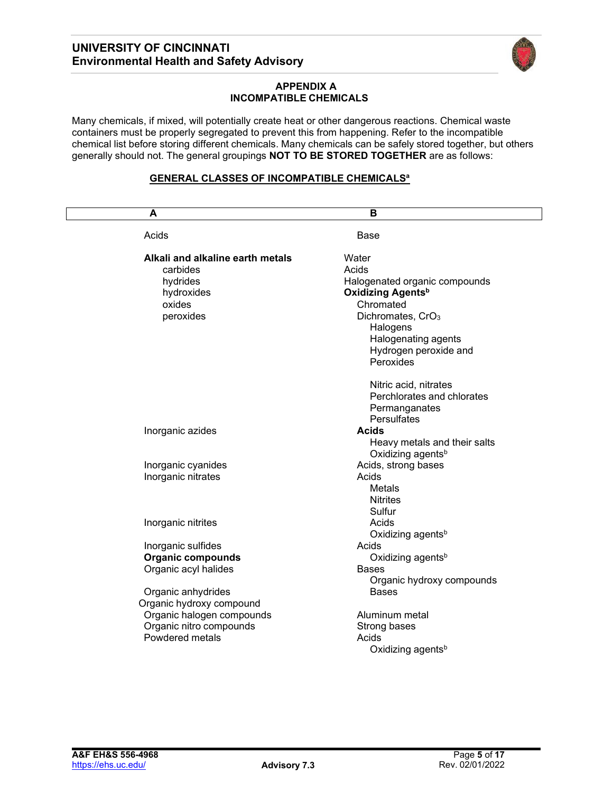

### **APPENDIX A INCOMPATIBLE CHEMICALS**

Many chemicals, if mixed, will potentially create heat or other dangerous reactions. Chemical waste containers must be properly segregated to prevent this from happening. Refer to the incompatible chemical list before storing different chemicals. Many chemicals can be safely stored together, but others generally should not. The general groupings **NOT TO BE STORED TOGETHER** are as follows:

## **GENERAL CLASSES OF INCOMPATIBLE CHEMICALSa**

| A                                | в                             |
|----------------------------------|-------------------------------|
| Acids                            | Base                          |
| Alkali and alkaline earth metals | Water                         |
| carbides                         | Acids                         |
| hydrides                         | Halogenated organic compounds |
| hydroxides                       | Oxidizing Agents <sup>b</sup> |
| oxides                           | Chromated                     |
| peroxides                        | Dichromates, CrO <sub>3</sub> |
|                                  | Halogens                      |
|                                  | Halogenating agents           |
|                                  | Hydrogen peroxide and         |
|                                  | Peroxides                     |
|                                  | Nitric acid, nitrates         |
|                                  | Perchlorates and chlorates    |
|                                  | Permanganates                 |
|                                  | <b>Persulfates</b>            |
| Inorganic azides                 | <b>Acids</b>                  |
|                                  | Heavy metals and their salts  |
|                                  | Oxidizing agents <sup>b</sup> |
| Inorganic cyanides               | Acids, strong bases           |
| Inorganic nitrates               | Acids                         |
|                                  | Metals                        |
|                                  | <b>Nitrites</b>               |
|                                  | Sulfur                        |
| Inorganic nitrites               | Acids                         |
|                                  | Oxidizing agents <sup>b</sup> |
| Inorganic sulfides               | Acids                         |
| <b>Organic compounds</b>         | Oxidizing agents <sup>b</sup> |
| Organic acyl halides             | <b>Bases</b>                  |
|                                  | Organic hydroxy compounds     |
| Organic anhydrides               | <b>Bases</b>                  |
| Organic hydroxy compound         |                               |
| Organic halogen compounds        | Aluminum metal                |
| Organic nitro compounds          | Strong bases                  |
| Powdered metals                  | Acids                         |
|                                  | Oxidizing agents <sup>b</sup> |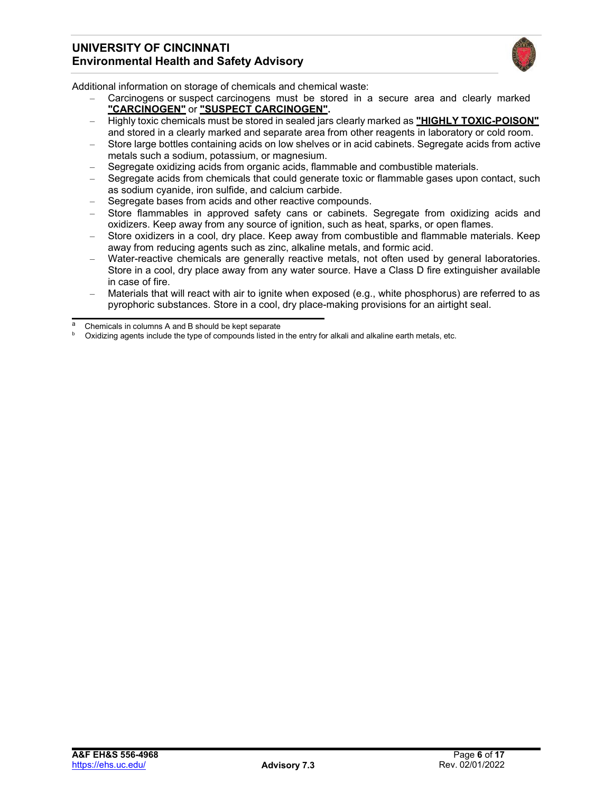

Additional information on storage of chemicals and chemical waste:

- Carcinogens or suspect carcinogens must be stored in a secure area and clearly marked **"CARCINOGEN"** or **"SUSPECT CARCINOGEN".**
- Highly toxic chemicals must be stored in sealed jars clearly marked as **"HIGHLY TOXIC-POISON"** and stored in a clearly marked and separate area from other reagents in laboratory or cold room.
- Store large bottles containing acids on low shelves or in acid cabinets. Segregate acids from active metals such a sodium, potassium, or magnesium.
- Segregate oxidizing acids from organic acids, flammable and combustible materials.
- Segregate acids from chemicals that could generate toxic or flammable gases upon contact, such as sodium cyanide, iron sulfide, and calcium carbide.
- Segregate bases from acids and other reactive compounds.
- Store flammables in approved safety cans or cabinets. Segregate from oxidizing acids and oxidizers. Keep away from any source of ignition, such as heat, sparks, or open flames.
- Store oxidizers in a cool, dry place. Keep away from combustible and flammable materials. Keep away from reducing agents such as zinc, alkaline metals, and formic acid.
- Water-reactive chemicals are generally reactive metals, not often used by general laboratories. Store in a cool, dry place away from any water source. Have a Class D fire extinguisher available in case of fire.
- Materials that will react with air to ignite when exposed (e.g., white phosphorus) are referred to as pyrophoric substances. Store in a cool, dry place-making provisions for an airtight seal.

Chemicals in columns A and B should be kept separate

Oxidizing agents include the type of compounds listed in the entry for alkali and alkaline earth metals, etc.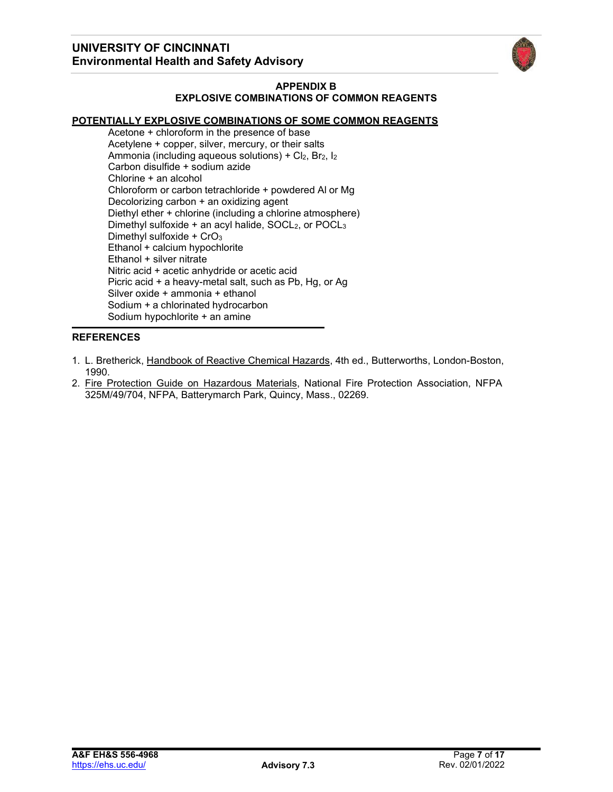

### **APPENDIX B EXPLOSIVE COMBINATIONS OF COMMON REAGENTS**

## **POTENTIALLY EXPLOSIVE COMBINATIONS OF SOME COMMON REAGENTS**

Acetone + chloroform in the presence of base Acetylene + copper, silver, mercury, or their salts Ammonia (including aqueous solutions) +  $Cl<sub>2</sub>$ ,  $Br<sub>2</sub>$ ,  $I<sub>2</sub>$ Carbon disulfide + sodium azide Chlorine + an alcohol Chloroform or carbon tetrachloride + powdered Al or Mg Decolorizing carbon + an oxidizing agent Diethyl ether + chlorine (including a chlorine atmosphere) Dimethyl sulfoxide  $+$  an acyl halide, SOCL<sub>2</sub>, or POCL<sub>3</sub> Dimethyl sulfoxide +  $CrO<sub>3</sub>$ Ethanol + calcium hypochlorite Ethanol + silver nitrate Nitric acid + acetic anhydride or acetic acid Picric acid + a heavy-metal salt, such as Pb, Hg, or Ag Silver oxide + ammonia + ethanol Sodium + a chlorinated hydrocarbon Sodium hypochlorite + an amine

#### **REFERENCES**

- 1. L. Bretherick, Handbook of Reactive Chemical Hazards, 4th ed., Butterworths, London-Boston, 1990.
- 2. Fire Protection Guide on Hazardous Materials, National Fire Protection Association, NFPA 325M/49/704, NFPA, Batterymarch Park, Quincy, Mass., 02269.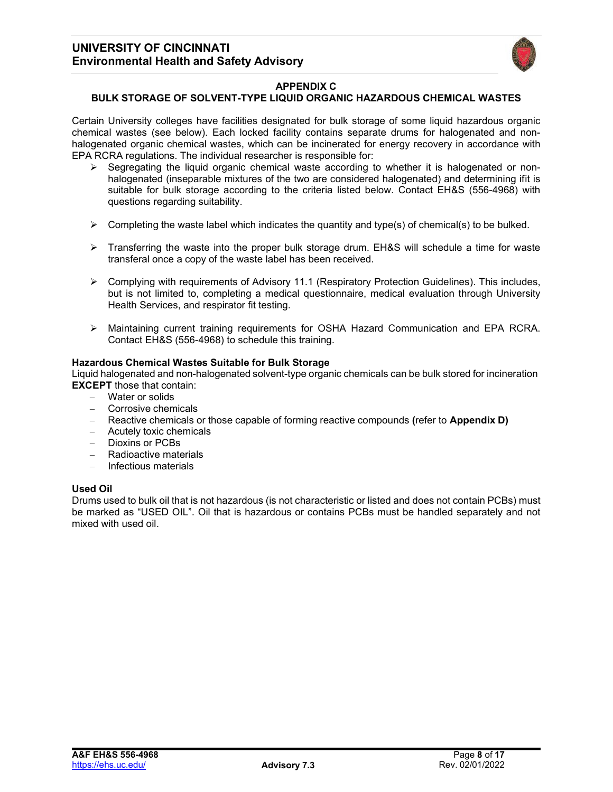

#### **APPENDIX C**

#### **BULK STORAGE OF SOLVENT-TYPE LIQUID ORGANIC HAZARDOUS CHEMICAL WASTES**

Certain University colleges have facilities designated for bulk storage of some liquid hazardous organic chemical wastes (see below). Each locked facility contains separate drums for halogenated and nonhalogenated organic chemical wastes, which can be incinerated for energy recovery in accordance with EPA RCRA regulations. The individual researcher is responsible for:

- Segregating the liquid organic chemical waste according to whether it is halogenated or nonhalogenated (inseparable mixtures of the two are considered halogenated) and determining ifit is suitable for bulk storage according to the criteria listed below. Contact EH&S (556-4968) with questions regarding suitability.
- $\triangleright$  Completing the waste label which indicates the quantity and type(s) of chemical(s) to be bulked.
- $\triangleright$  Transferring the waste into the proper bulk storage drum. EH&S will schedule a time for waste transferal once a copy of the waste label has been received.
- $\triangleright$  Complying with requirements of Advisory 11.1 (Respiratory Protection Guidelines). This includes, but is not limited to, completing a medical questionnaire, medical evaluation through University Health Services, and respirator fit testing.
- Maintaining current training requirements for OSHA Hazard Communication and EPA RCRA. Contact EH&S (556-4968) to schedule this training.

### **Hazardous Chemical Wastes Suitable for Bulk Storage**

Liquid halogenated and non-halogenated solvent-type organic chemicals can be bulk stored for incineration **EXCEPT** those that contain:

- Water or solids
- Corrosive chemicals
- Reactive chemicals or those capable of forming reactive compounds **(**refer to **Appendix D)**
- Acutely toxic chemicals
- Dioxins or PCBs
- Radioactive materials
- Infectious materials

#### **Used Oil**

Drums used to bulk oil that is not hazardous (is not characteristic or listed and does not contain PCBs) must be marked as "USED OIL". Oil that is hazardous or contains PCBs must be handled separately and not mixed with used oil.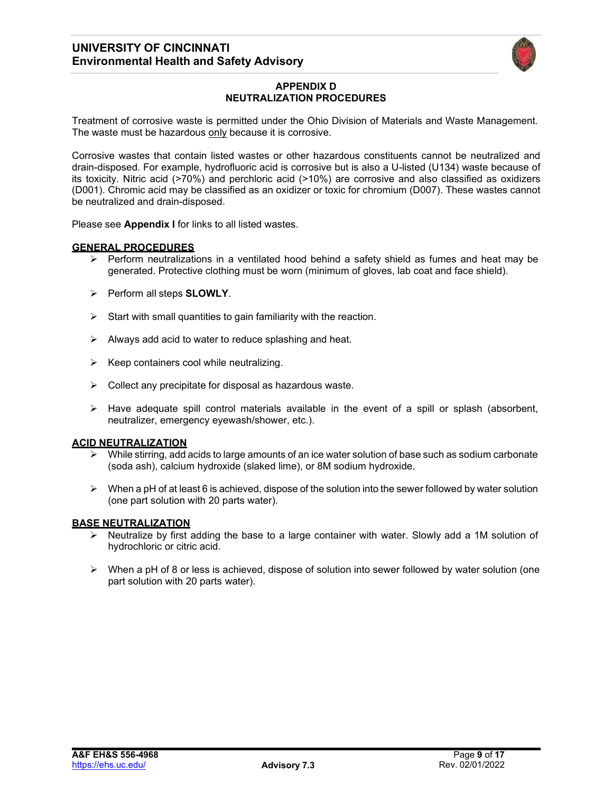

## **APPENDIX D NEUTRALIZATION PROCEDURES**

Treatment of corrosive waste is permitted under the Ohio Division of Materials and Waste Management. The waste must be hazardous only because it is corrosive.

Corrosive wastes that contain listed wastes or other hazardous constituents cannot be neutralized and drain-disposed. For example, hydrofluoric acid is corrosive but is also a U-listed (U134) waste because of its toxicity. Nitric acid (>70%) and perchloric acid (>10%) are corrosive and also classified as oxidizers (D001). Chromic acid may be classified as an oxidizer or toxic for chromium (D007). These wastes cannot be neutralized and drain-disposed.

Please see **Appendix I** for links to all listed wastes.

#### **GENERAL PROCEDURES**

- $\triangleright$  Perform neutralizations in a ventilated hood behind a safety shield as fumes and heat may be generated. Protective clothing must be worn (minimum of gloves, lab coat and face shield).
- Perform all steps **SLOWLY**.
- $\triangleright$  Start with small quantities to gain familiarity with the reaction.
- $\triangleright$  Always add acid to water to reduce splashing and heat.
- $\triangleright$  Keep containers cool while neutralizing.
- $\triangleright$  Collect any precipitate for disposal as hazardous waste.
- $\triangleright$  Have adequate spill control materials available in the event of a spill or splash (absorbent, neutralizer, emergency eyewash/shower, etc.).

#### **ACID NEUTRALIZATION**

- $\triangleright$  While stirring, add acids to large amounts of an ice water solution of base such as sodium carbonate (soda ash), calcium hydroxide (slaked lime), or 8M sodium hydroxide.
- $\triangleright$  When a pH of at least 6 is achieved, dispose of the solution into the sewer followed by water solution (one part solution with 20 parts water).

#### **BASE NEUTRALIZATION**

- $\triangleright$  Neutralize by first adding the base to a large container with water. Slowly add a 1M solution of hydrochloric or citric acid.
- $\triangleright$  When a pH of 8 or less is achieved, dispose of solution into sewer followed by water solution (one part solution with 20 parts water).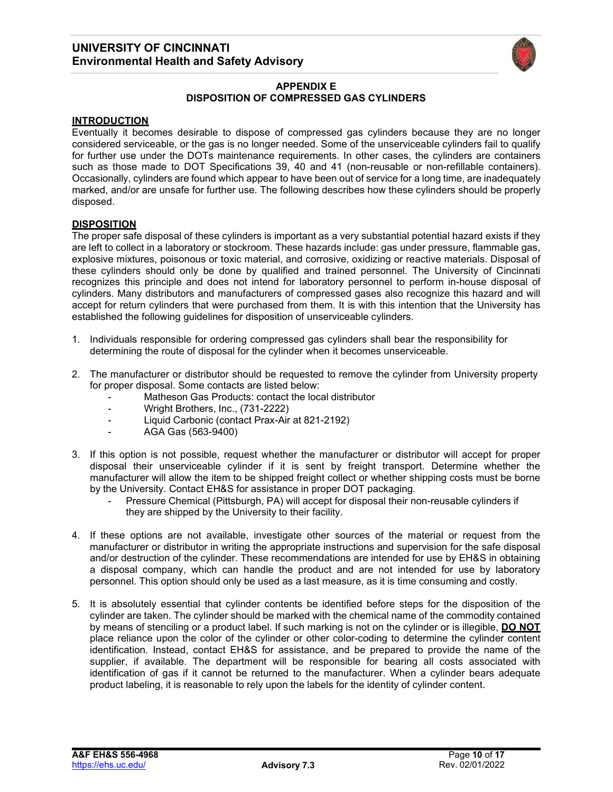

#### **APPENDIX E DISPOSITION OF COMPRESSED GAS CYLINDERS**

#### **INTRODUCTION**

Eventually it becomes desirable to dispose of compressed gas cylinders because they are no longer considered serviceable, or the gas is no longer needed. Some of the unserviceable cylinders fail to qualify for further use under the DOTs maintenance requirements. In other cases, the cylinders are containers such as those made to DOT Specifications 39, 40 and 41 (non-reusable or non-refillable containers). Occasionally, cylinders are found which appear to have been out of service for a long time, are inadequately marked, and/or are unsafe for further use. The following describes how these cylinders should be properly disposed.

#### **DISPOSITION**

The proper safe disposal of these cylinders is important as a very substantial potential hazard exists if they are left to collect in a laboratory or stockroom. These hazards include: gas under pressure, flammable gas, explosive mixtures, poisonous or toxic material, and corrosive, oxidizing or reactive materials. Disposal of these cylinders should only be done by qualified and trained personnel. The University of Cincinnati recognizes this principle and does not intend for laboratory personnel to perform in-house disposal of cylinders. Many distributors and manufacturers of compressed gases also recognize this hazard and will accept for return cylinders that were purchased from them. It is with this intention that the University has established the following guidelines for disposition of unserviceable cylinders.

- 1. Individuals responsible for ordering compressed gas cylinders shall bear the responsibility for determining the route of disposal for the cylinder when it becomes unserviceable.
- 2. The manufacturer or distributor should be requested to remove the cylinder from University property for proper disposal. Some contacts are listed below:
	- Matheson Gas Products: contact the local distributor
	- Wright Brothers, Inc., (731-2222)
	- Liquid Carbonic (contact Prax-Air at 821-2192)
	- AGA Gas (563-9400)
- 3. If this option is not possible, request whether the manufacturer or distributor will accept for proper disposal their unserviceable cylinder if it is sent by freight transport. Determine whether the manufacturer will allow the item to be shipped freight collect or whether shipping costs must be borne by the University. Contact EH&S for assistance in proper DOT packaging.
	- Pressure Chemical (Pittsburgh, PA) will accept for disposal their non-reusable cylinders if they are shipped by the University to their facility.
- 4. If these options are not available, investigate other sources of the material or request from the manufacturer or distributor in writing the appropriate instructions and supervision for the safe disposal and/or destruction of the cylinder. These recommendations are intended for use by EH&S in obtaining a disposal company, which can handle the product and are not intended for use by laboratory personnel. This option should only be used as a last measure, as it is time consuming and costly.
- 5. It is absolutely essential that cylinder contents be identified before steps for the disposition of the cylinder are taken. The cylinder should be marked with the chemical name of the commodity contained by means of stenciling or a product label. If such marking is not on the cylinder or is illegible, **DO NOT** place reliance upon the color of the cylinder or other color-coding to determine the cylinder content identification. Instead, contact EH&S for assistance, and be prepared to provide the name of the supplier, if available. The department will be responsible for bearing all costs associated with identification of gas if it cannot be returned to the manufacturer. When a cylinder bears adequate product labeling, it is reasonable to rely upon the labels for the identity of cylinder content.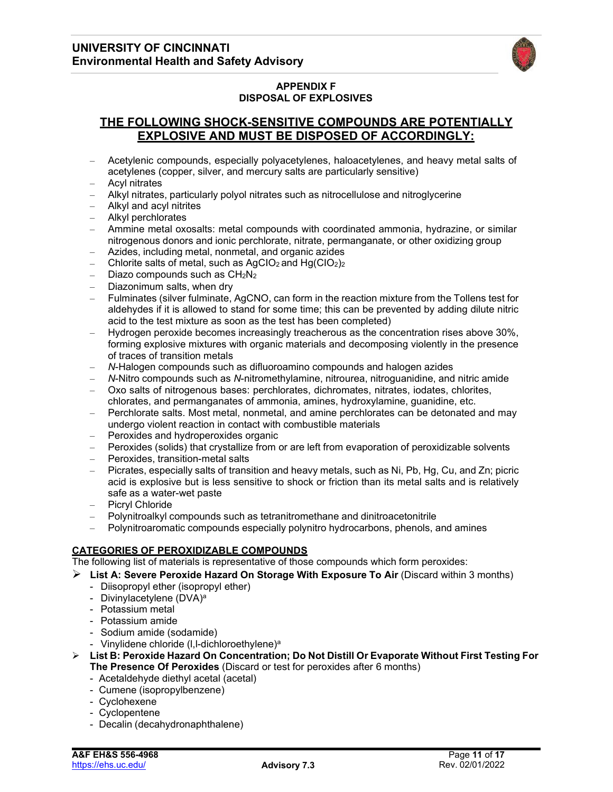

## **APPENDIX F DISPOSAL OF EXPLOSIVES**

# **THE FOLLOWING SHOCK-SENSITIVE COMPOUNDS ARE POTENTIALLY EXPLOSIVE AND MUST BE DISPOSED OF ACCORDINGLY:**

- Acetylenic compounds, especially polyacetylenes, haloacetylenes, and heavy metal salts of acetylenes (copper, silver, and mercury salts are particularly sensitive)
- Acyl nitrates
- Alkyl nitrates, particularly polyol nitrates such as nitrocellulose and nitroglycerine
- Alkyl and acyl nitrites
- Alkyl perchlorates
- Ammine metal oxosalts: metal compounds with coordinated ammonia, hydrazine, or similar nitrogenous donors and ionic perchlorate, nitrate, permanganate, or other oxidizing group
- Azides, including metal, nonmetal, and organic azides
- Chlorite salts of metal, such as  $AgClO<sub>2</sub>$  and  $Hg(ClO<sub>2</sub>)<sub>2</sub>$
- Diazo compounds such as  $CH<sub>2</sub>N<sub>2</sub>$
- Diazonimum salts, when dry
- Fulminates (silver fulminate, AgCNO, can form in the reaction mixture from the Tollens test for aldehydes if it is allowed to stand for some time; this can be prevented by adding dilute nitric acid to the test mixture as soon as the test has been completed)
- Hydrogen peroxide becomes increasingly treacherous as the concentration rises above 30%, forming explosive mixtures with organic materials and decomposing violently in the presence of traces of transition metals
- *N*-Halogen compounds such as difluoroamino compounds and halogen azides
- *N*-Nitro compounds such as *N*-nitromethylamine, nitrourea, nitroguanidine, and nitric amide
- Oxo salts of nitrogenous bases: perchlorates, dichromates, nitrates, iodates, chlorites, chlorates, and permanganates of ammonia, amines, hydroxylamine, guanidine, etc.
- Perchlorate salts. Most metal, nonmetal, and amine perchlorates can be detonated and may undergo violent reaction in contact with combustible materials
- Peroxides and hydroperoxides organic
- Peroxides (solids) that crystallize from or are left from evaporation of peroxidizable solvents
- Peroxides, transition-metal salts
- Picrates, especially salts of transition and heavy metals, such as Ni, Pb, Hg, Cu, and Zn; picric acid is explosive but is less sensitive to shock or friction than its metal salts and is relatively safe as a water-wet paste
- Picryl Chloride
- Polynitroalkyl compounds such as tetranitromethane and dinitroacetonitrile
- Polynitroaromatic compounds especially polynitro hydrocarbons, phenols, and amines

## **CATEGORIES OF PEROXIDIZABLE COMPOUNDS**

The following list of materials is representative of those compounds which form peroxides:

- **List A: Severe Peroxide Hazard On Storage With Exposure To Air** (Discard within 3 months)
	- Diisopropyl ether (isopropyl ether)
	- Divinylacetylene (DVA)<sup>a</sup>
	- Potassium metal
	- Potassium amide
	- Sodium amide (sodamide)
	- Vinylidene chloride (I,I-dichloroethylene)<sup>a</sup>
- **List B: Peroxide Hazard On Concentration; Do Not Distill Or Evaporate Without First Testing For The Presence Of Peroxides** (Discard or test for peroxides after 6 months)
	- Acetaldehyde diethyl acetal (acetal)
	- Cumene (isopropylbenzene)
	- Cyclohexene
	- Cyclopentene
	- Decalin (decahydronaphthalene)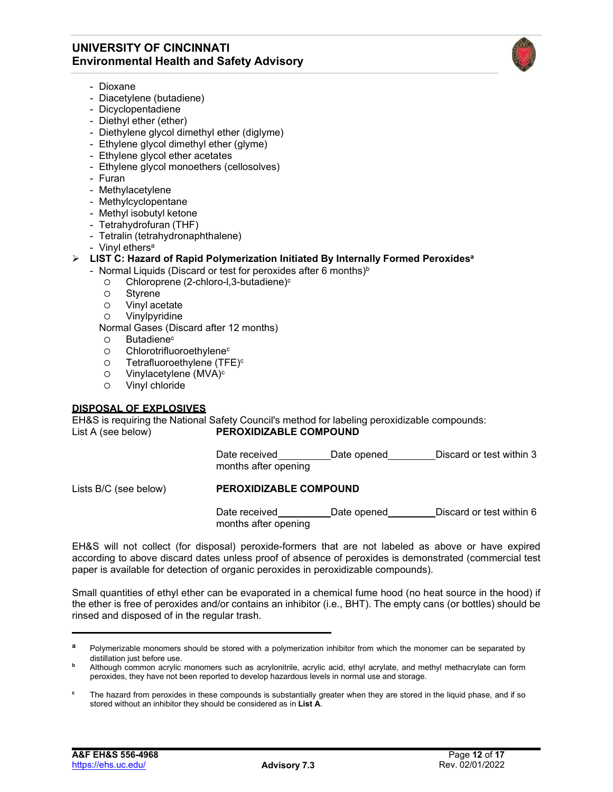

- Dioxane
- Diacetylene (butadiene)
- Dicyclopentadiene
- Diethyl ether (ether)
- Diethylene glycol dimethyl ether (diglyme)
- Ethylene glycol dimethyl ether (glyme)
- Ethylene glycol ether acetates
- Ethylene glycol monoethers (cellosolves)
- Furan
- Methylacetylene
- Methylcyclopentane
- Methyl isobutyl ketone
- Tetrahydrofuran (THF)
- Tetralin (tetrahydronaphthalene)
- Vinyl ethers<sup>a</sup>

#### **LIST C: Hazard of Rapid Polymerization Initiated By Internally Formed Peroxidesa**

- Normal Liquids (Discard or test for peroxides after 6 months) $b$ 
	- o Chloroprene (2-chloro-l, 3-butadiene)<sup>c</sup>
	- Styrene
	- Vinyl acetate
	- Vinylpyridine

Normal Gases (Discard after 12 months)

- O Butadiene<sup>c</sup>
- o Chlorotrifluoroethylene<sup>c</sup>
- $\circ$  Tetrafluoroethylene (TFE)<sup>c</sup>
- $\circ$  Vinylacetylene (MVA)<sup>c</sup>
- Vinyl chloride

## **DISPOSAL OF EXPLOSIVES**

EH&S is requiring the National Safety Council's method for labeling peroxidizable compounds: List A (see below) **PEROXIDIZABLE COMPOUND**

> Date received Date opened Discard or test within 3 months after opening

## Lists B/C (see below) **PEROXIDIZABLE COMPOUND**

Date received Date opened Discard or test within 6 months after opening

EH&S will not collect (for disposal) peroxide-formers that are not labeled as above or have expired according to above discard dates unless proof of absence of peroxides is demonstrated (commercial test paper is available for detection of organic peroxides in peroxidizable compounds).

Small quantities of ethyl ether can be evaporated in a chemical fume hood (no heat source in the hood) if the ether is free of peroxides and/or contains an inhibitor (i.e., BHT). The empty cans (or bottles) should be rinsed and disposed of in the regular trash.

**a** Polymerizable monomers should be stored with a polymerization inhibitor from which the monomer can be separated by distillation just before use.

**<sup>b</sup>** Although common acrylic monomers such as acrylonitrile, acrylic acid, ethyl acrylate, and methyl methacrylate can form peroxides, they have not been reported to develop hazardous levels in normal use and storage.

<sup>&</sup>lt;sup>c</sup> The hazard from peroxides in these compounds is substantially greater when they are stored in the liquid phase, and if so stored without an inhibitor they should be considered as in **List A**.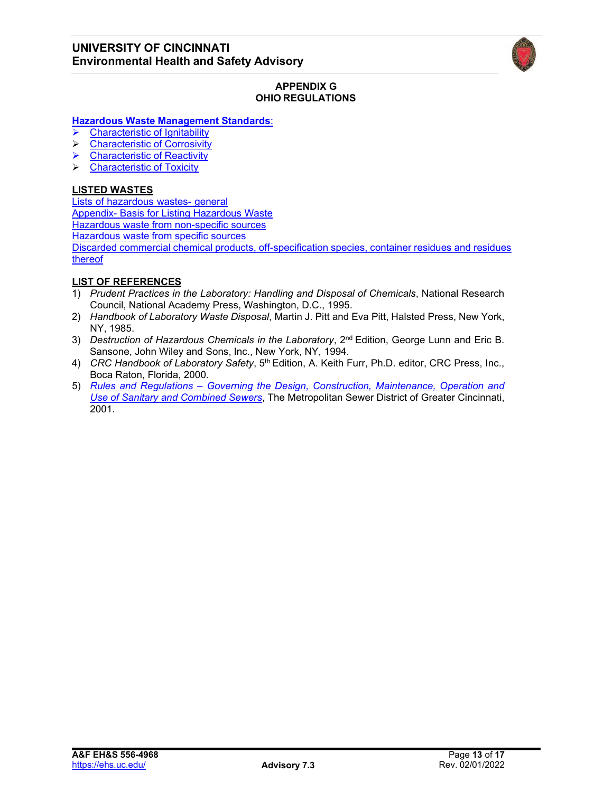

### **APPENDIX G OHIO REGULATIONS**

## **Hazardous Waste [Management](https://codes.ohio.gov/ohio-administrative-code/chapter-3745-51) Standards**:

- [Characteristic](https://codes.ohio.gov/ohio-administrative-code/rule-3745-51-21) of Ignitabilit[y](https://codes.ohio.gov/ohio-administrative-code/rule-3745-51-21)
- [Characteristic](https://codes.ohio.gov/ohio-administrative-code/rule-3745-51-22) of Corrosivity
- $\triangleright$  [Characteristic](https://codes.ohio.gov/ohio-administrative-code/rule-3745-51-23) of Reactivit[y](https://codes.ohio.gov/ohio-administrative-code/rule-3745-51-23)
- [Characteristic](https://codes.ohio.gov/ohio-administrative-code/rule-3745-51-24) of Toxicity

## **LISTED WASTES**

Lists of [hazardous](https://codes.ohio.gov/ohio-administrative-code/rule-3745-51-30) wastes- general Appendix- [Basis for Listing Hazardous Waste](https://codes.ohio.gov/assets/laws/administrative-code/pdfs/3745/0/51/3745-51-11_PH_FF_A_APP1_20200921_1014.pdf) [Hazardous waste from non-specific sources](https://codes.ohio.gov/ohio-administrative-code/rule-3745-51-31) [Hazardous](https://codes.ohio.gov/ohio-administrative-code/rule-3745-51-32) waste from specific sources Discarded commercial chemical products, [off-specification](https://codes.ohio.gov/ohio-administrative-code/rule-3745-51-33) species, container residues and residues [thereof](https://codes.ohio.gov/ohio-administrative-code/rule-3745-51-33)

## **LIST OF REFERENCES**

- 1) *Prudent Practices in the Laboratory: Handling and Disposal of Chemicals*, National Research Council, National Academy Press, Washington, D.C., 1995.
- 2) *Handbook of Laboratory Waste Disposal*, Martin J. Pitt and Eva Pitt, Halsted Press, New York, NY, 1985.
- 3) *Destruction of Hazardous Chemicals in the Laboratory*, 2<sup>nd</sup> Edition, George Lunn and Eric B. Sansone, John Wiley and Sons, Inc., New York, NY, 1994.
- 4) *CRC Handbook of Laboratory Safety*, 5<sup>th</sup> Edition, A. Keith Furr, Ph.D. editor, CRC Press, Inc., Boca Raton, Florida, 2000.
- 5) *Rules and Regulations – [Governing the Design, Construction, Maintenance, Operation and](https://www.msdgc.org/downloads/about_msd/msd-rules-regulations/Full_MSD_Rules_Regs_Legislated_2001-2018_(searchable)_4-19-18.pdf) Use of Sanitary and [Combined](https://www.msdgc.org/downloads/about_msd/msd-rules-regulations/Full_MSD_Rules_Regs_Legislated_2001-2018_(searchable)_4-19-18.pdf) Sewers*, The Metropolitan Sewer District of Greater Cincinnati, 2001.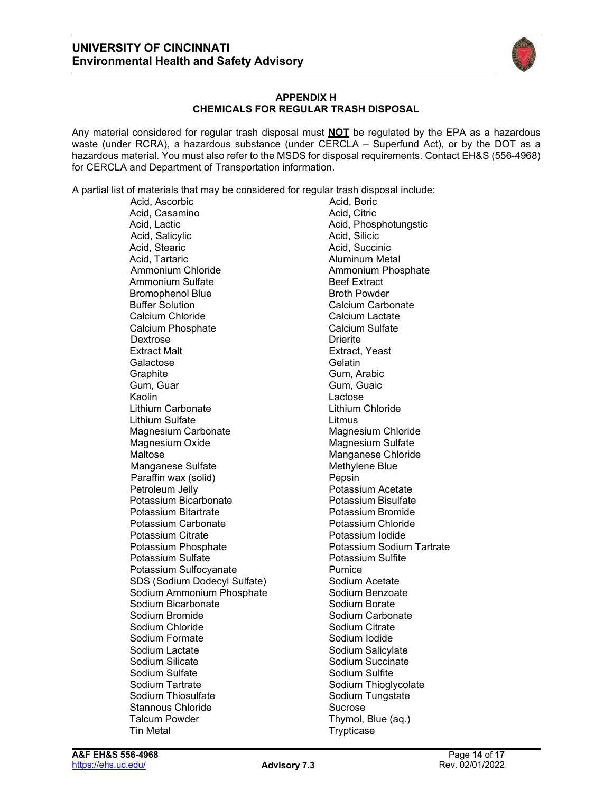

#### **APPENDIX H CHEMICALS FOR REGULAR TRASH DISPOSAL**

Any material considered for regular trash disposal must **NOT** be regulated by the EPA as a hazardous waste (under RCRA), a hazardous substance (under CERCLA – Superfund Act), or by the DOT as a hazardous material. You must also refer to the MSDS for disposal requirements. Contact EH&S (556-4968) for CERCLA and Department of Transportation information.

A partial list of materials that may be considered for regular trash disposal include:

Acid, Ascorbic Acid, Casamino **Acid, Citric** Acid, Lactic **Acid, Phosphotungstic**<br>Acid, Salicylic **Acid, Phosphotungstic**<br>Acid, Silicic Acid, Salicylic<br>Acid, Stearic Acid, Tartaric **Aluminum Metal**<br>Ammonium Chloride **Aluminum Photo** Ammonium Sulfate **Beef Extract** Bromophenol Blue and Broth Powder<br>Buffer Solution and Buffer Solution Calcium Chloride Calcium Phosphate<br>
Dextrose Calcium Sulfate<br>
Drierite Dextrose Extract Malt Extract, Yeast Galactose<br>Graphite Gum, Guar Gum, Guaic Kaolin **Lactose** Lithium Carbonate Lithium Chloride Lithium Sulfate Litmus Magnesium Carbonate<br>Magnesium Oxide Maltose Manganese Chloride Manganese Sulfate Methylene Blue Paraffin wax (solid) Pepsin<br>Petroleum Jellv Potassi Potassium Bicarbonate **Potassium Bisulfate**<br>Potassium Bitartrate **Potassium Bromide** Potassium Bitartrate Potassium Carbonate **National Potassium Chloride**<br>Potassium Citrate **Potassium Contracts** Potassium Citrate Potassium Phosphate **Network** Potassium Sodium Tartrate Potassium Sulfate **Potassium Sulfite** Potassium Sulfocyanate<br>
SDS (Sodium Dodecyl Sulfate) **Pumice**<br>
Sodium Acetate SDS (Sodium Dodecyl Sulfate) Sodium Ammonium Phosphate Sodium Benzoate Sodium Bicarbonate<br>Sodium Bromide Sodium Chloride Sodium Formate Sodium Iodide Sodium Lactate Sodium Salicylate Sodium Silicate **Solium Succinate** Sodium Succinate Sodium Sulfate Sodium Sulfite Sodium Tartrate Sodium Thioglycolate Sodium Thiosulfate Sodium Tungstate Stannous Chloride Stannous Chloride Sucrose Talcum Powder **Thymol**, Blue (aq.) Tin Metal **Trypticase** 

Acid, Succinic Ammonium Phosphate Calcium Carbonate<br>Calcium Lactate Gum, Arabic Magnesium Sulfate Potassium Acetate<br>Potassium Bisulfate Sodium Carbonate<br>Sodium Citrate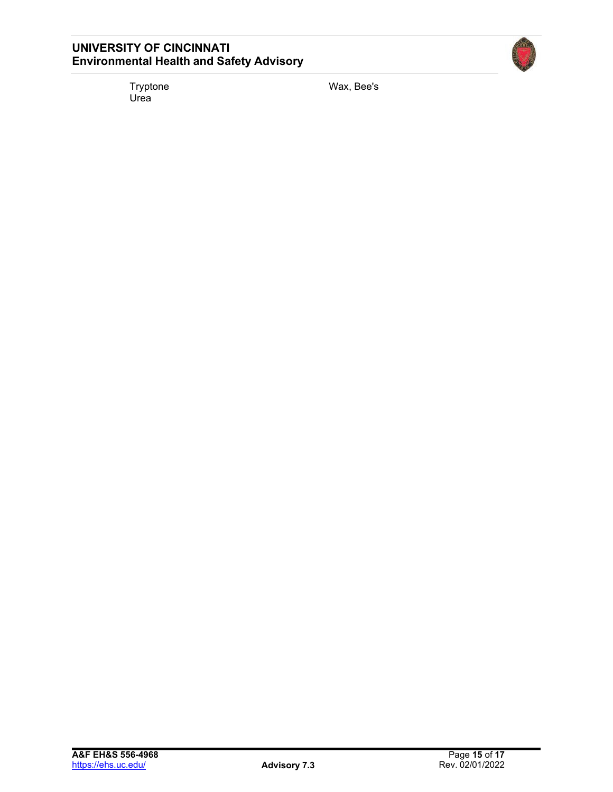Tryptone<br>Urea

Wax, Bee's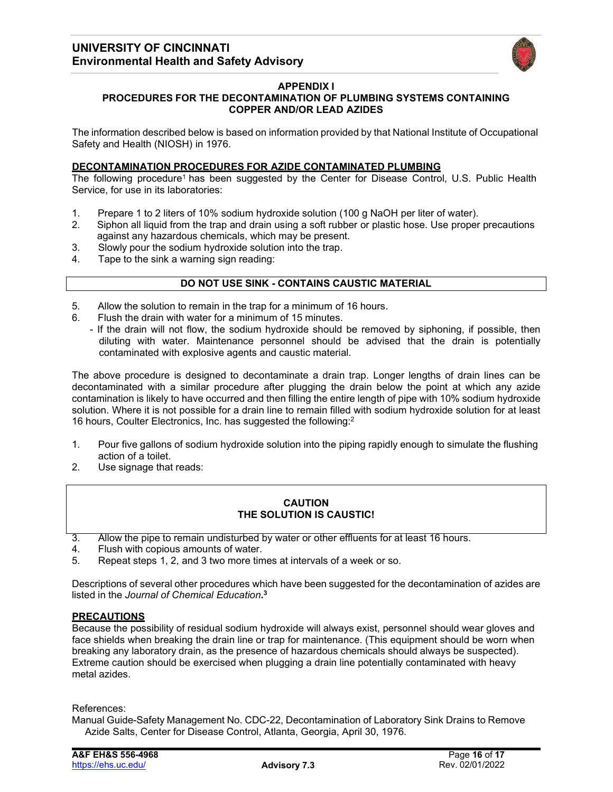

## **APPENDIX I**

## **PROCEDURES FOR THE DECONTAMINATION OF PLUMBING SYSTEMS CONTAINING COPPER AND/OR LEAD AZIDES**

The information described below is based on information provided by that National Institute of Occupational Safety and Health (NIOSH) in 1976.

#### **DECONTAMINATION PROCEDURES FOR AZIDE CONTAMINATED PLUMBING**

The following procedure<sup>1</sup> has been suggested by the Center for Disease Control, U.S. Public Health Service, for use in its laboratories:

- 1. Prepare 1 to 2 liters of 10% sodium hydroxide solution (100 g NaOH per liter of water).
- 2. Siphon all liquid from the trap and drain using a soft rubber or plastic hose. Use proper precautions against any hazardous chemicals, which may be present.
- 3. Slowly pour the sodium hydroxide solution into the trap.
- 4. Tape to the sink a warning sign reading:

## **DO NOT USE SINK - CONTAINS CAUSTIC MATERIAL**

- 5. Allow the solution to remain in the trap for a minimum of 16 hours.
- 6. Flush the drain with water for a minimum of 15 minutes.
	- If the drain will not flow, the sodium hydroxide should be removed by siphoning, if possible, then diluting with water. Maintenance personnel should be advised that the drain is potentially contaminated with explosive agents and caustic material.

The above procedure is designed to decontaminate a drain trap. Longer lengths of drain lines can be decontaminated with a similar procedure after plugging the drain below the point at which any azide contamination is likely to have occurred and then filling the entire length of pipe with 10% sodium hydroxide solution. Where it is not possible for a drain line to remain filled with sodium hydroxide solution for at least 16 hours, Coulter Electronics, Inc. has suggested the following:2

- 1. Pour five gallons of sodium hydroxide solution into the piping rapidly enough to simulate the flushing action of a toilet.
- 2. Use signage that reads:

#### **CAUTION THE SOLUTION IS CAUSTIC!**

- 3. Allow the pipe to remain undisturbed by water or other effluents for at least 16 hours.
- 4. Flush with copious amounts of water.<br>5. Repeat steps 1, 2, and 3 two more tim
- 5. Repeat steps 1, 2, and 3 two more times at intervals of a week or so.

Descriptions of several other procedures which have been suggested for the decontamination of azides are listed in the *Journal of Chemical Education***. 3**

### **PRECAUTIONS**

Because the possibility of residual sodium hydroxide will always exist, personnel should wear gloves and face shields when breaking the drain line or trap for maintenance. (This equipment should be worn when breaking any laboratory drain, as the presence of hazardous chemicals should always be suspected). Extreme caution should be exercised when plugging a drain line potentially contaminated with heavy metal azides.

References:

Manual Guide-Safety Management No. CDC-22, Decontamination of Laboratory Sink Drains to Remove Azide Salts, Center for Disease Control, Atlanta, Georgia, April 30, 1976.